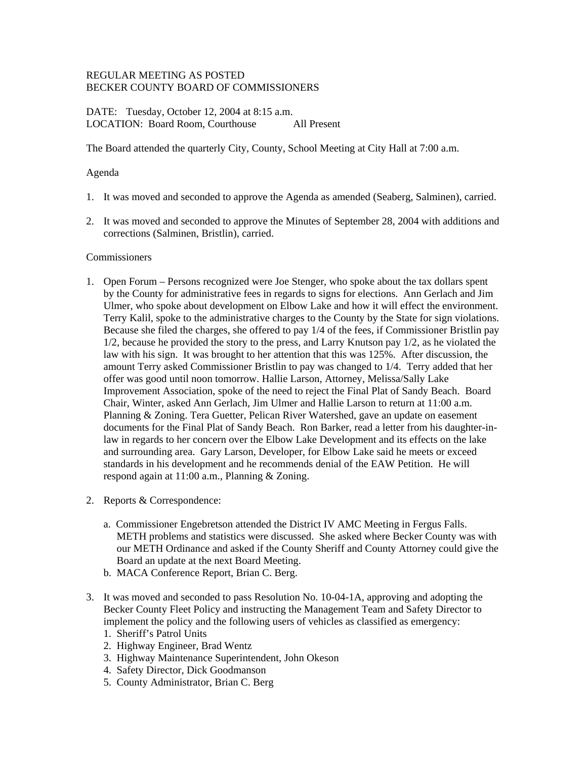# REGULAR MEETING AS POSTED BECKER COUNTY BOARD OF COMMISSIONERS

DATE: Tuesday, October 12, 2004 at 8:15 a.m. LOCATION: Board Room, Courthouse All Present

The Board attended the quarterly City, County, School Meeting at City Hall at 7:00 a.m.

# Agenda

- 1. It was moved and seconded to approve the Agenda as amended (Seaberg, Salminen), carried.
- 2. It was moved and seconded to approve the Minutes of September 28, 2004 with additions and corrections (Salminen, Bristlin), carried.

## **Commissioners**

- 1. Open Forum Persons recognized were Joe Stenger, who spoke about the tax dollars spent by the County for administrative fees in regards to signs for elections. Ann Gerlach and Jim Ulmer, who spoke about development on Elbow Lake and how it will effect the environment. Terry Kalil, spoke to the administrative charges to the County by the State for sign violations. Because she filed the charges, she offered to pay 1/4 of the fees, if Commissioner Bristlin pay 1/2, because he provided the story to the press, and Larry Knutson pay 1/2, as he violated the law with his sign. It was brought to her attention that this was 125%. After discussion, the amount Terry asked Commissioner Bristlin to pay was changed to 1/4. Terry added that her offer was good until noon tomorrow. Hallie Larson, Attorney, Melissa/Sally Lake Improvement Association, spoke of the need to reject the Final Plat of Sandy Beach. Board Chair, Winter, asked Ann Gerlach, Jim Ulmer and Hallie Larson to return at 11:00 a.m. Planning & Zoning. Tera Guetter, Pelican River Watershed, gave an update on easement documents for the Final Plat of Sandy Beach. Ron Barker, read a letter from his daughter-inlaw in regards to her concern over the Elbow Lake Development and its effects on the lake and surrounding area. Gary Larson, Developer, for Elbow Lake said he meets or exceed standards in his development and he recommends denial of the EAW Petition. He will respond again at 11:00 a.m., Planning & Zoning.
- 2. Reports & Correspondence:
	- a. Commissioner Engebretson attended the District IV AMC Meeting in Fergus Falls. METH problems and statistics were discussed. She asked where Becker County was with our METH Ordinance and asked if the County Sheriff and County Attorney could give the Board an update at the next Board Meeting.
	- b. MACA Conference Report, Brian C. Berg.
- 3. It was moved and seconded to pass Resolution No. 10-04-1A, approving and adopting the Becker County Fleet Policy and instructing the Management Team and Safety Director to implement the policy and the following users of vehicles as classified as emergency:
	- 1. Sheriff's Patrol Units
	- 2. Highway Engineer, Brad Wentz
	- 3. Highway Maintenance Superintendent, John Okeson
	- 4. Safety Director, Dick Goodmanson
	- 5. County Administrator, Brian C. Berg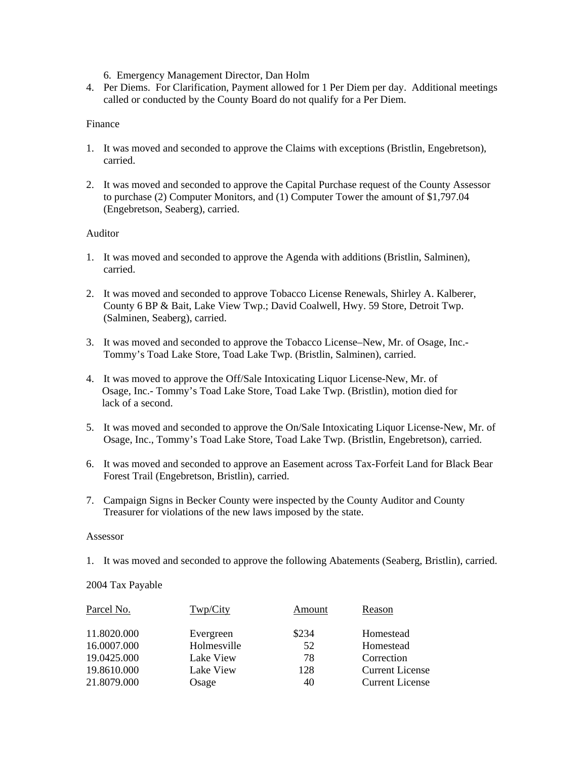6. Emergency Management Director, Dan Holm

4. Per Diems. For Clarification, Payment allowed for 1 Per Diem per day. Additional meetings called or conducted by the County Board do not qualify for a Per Diem.

# Finance

- 1. It was moved and seconded to approve the Claims with exceptions (Bristlin, Engebretson), carried.
- 2. It was moved and seconded to approve the Capital Purchase request of the County Assessor to purchase (2) Computer Monitors, and (1) Computer Tower the amount of \$1,797.04 (Engebretson, Seaberg), carried.

# Auditor

- 1. It was moved and seconded to approve the Agenda with additions (Bristlin, Salminen), carried.
- 2. It was moved and seconded to approve Tobacco License Renewals, Shirley A. Kalberer, County 6 BP & Bait, Lake View Twp.; David Coalwell, Hwy. 59 Store, Detroit Twp. (Salminen, Seaberg), carried.
- 3. It was moved and seconded to approve the Tobacco License–New, Mr. of Osage, Inc.- Tommy's Toad Lake Store, Toad Lake Twp. (Bristlin, Salminen), carried.
- 4. It was moved to approve the Off/Sale Intoxicating Liquor License-New, Mr. of Osage, Inc.- Tommy's Toad Lake Store, Toad Lake Twp. (Bristlin), motion died for lack of a second.
- 5. It was moved and seconded to approve the On/Sale Intoxicating Liquor License-New, Mr. of Osage, Inc., Tommy's Toad Lake Store, Toad Lake Twp. (Bristlin, Engebretson), carried.
- 6. It was moved and seconded to approve an Easement across Tax-Forfeit Land for Black Bear Forest Trail (Engebretson, Bristlin), carried.
- 7. Campaign Signs in Becker County were inspected by the County Auditor and County Treasurer for violations of the new laws imposed by the state.

## Assessor

1. It was moved and seconded to approve the following Abatements (Seaberg, Bristlin), carried.

# 2004 Tax Payable

| Parcel No.  | Twp/City    | Amount | Reason                 |
|-------------|-------------|--------|------------------------|
| 11.8020.000 | Evergreen   | \$234  | Homestead              |
| 16.0007.000 | Holmesville | 52     | Homestead              |
| 19.0425.000 | Lake View   | 78     | Correction             |
| 19.8610.000 | Lake View   | 128    | <b>Current License</b> |
| 21.8079.000 | Osage       | 40     | <b>Current License</b> |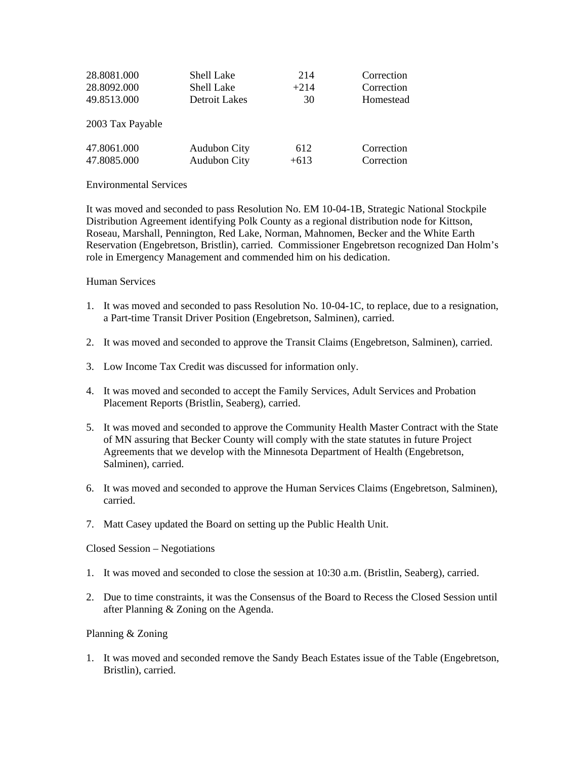| 28.8081.000      | Shell Lake          | 214    | Correction |
|------------------|---------------------|--------|------------|
| 28.8092.000      | Shell Lake          | $+214$ | Correction |
| 49.8513.000      | Detroit Lakes       | 30     | Homestead  |
| 2003 Tax Payable |                     |        |            |
| 47.8061.000      | <b>Audubon City</b> | 612    | Correction |
| 47.8085.000      | <b>Audubon City</b> | $+613$ | Correction |

## Environmental Services

It was moved and seconded to pass Resolution No. EM 10-04-1B, Strategic National Stockpile Distribution Agreement identifying Polk County as a regional distribution node for Kittson, Roseau, Marshall, Pennington, Red Lake, Norman, Mahnomen, Becker and the White Earth Reservation (Engebretson, Bristlin), carried. Commissioner Engebretson recognized Dan Holm's role in Emergency Management and commended him on his dedication.

# Human Services

- 1. It was moved and seconded to pass Resolution No. 10-04-1C, to replace, due to a resignation, a Part-time Transit Driver Position (Engebretson, Salminen), carried.
- 2. It was moved and seconded to approve the Transit Claims (Engebretson, Salminen), carried.
- 3. Low Income Tax Credit was discussed for information only.
- 4. It was moved and seconded to accept the Family Services, Adult Services and Probation Placement Reports (Bristlin, Seaberg), carried.
- 5. It was moved and seconded to approve the Community Health Master Contract with the State of MN assuring that Becker County will comply with the state statutes in future Project Agreements that we develop with the Minnesota Department of Health (Engebretson, Salminen), carried.
- 6. It was moved and seconded to approve the Human Services Claims (Engebretson, Salminen), carried.
- 7. Matt Casey updated the Board on setting up the Public Health Unit.

## Closed Session – Negotiations

- 1. It was moved and seconded to close the session at 10:30 a.m. (Bristlin, Seaberg), carried.
- 2. Due to time constraints, it was the Consensus of the Board to Recess the Closed Session until after Planning & Zoning on the Agenda.

## Planning & Zoning

1. It was moved and seconded remove the Sandy Beach Estates issue of the Table (Engebretson, Bristlin), carried.